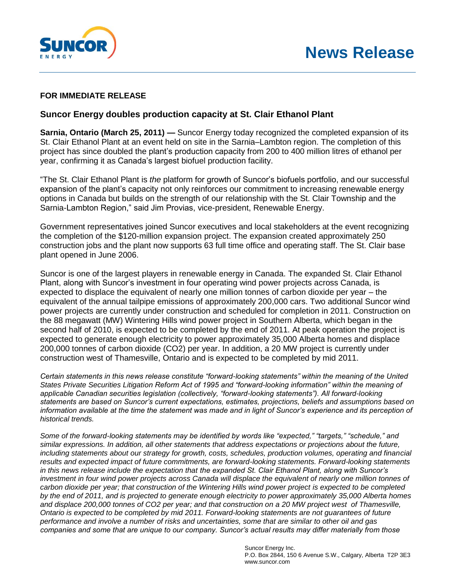



## **FOR IMMEDIATE RELEASE**

## **Suncor Energy doubles production capacity at St. Clair Ethanol Plant**

**Sarnia, Ontario (March 25, 2011) —** Suncor Energy today recognized the completed expansion of its St. Clair Ethanol Plant at an event held on site in the Sarnia–Lambton region. The completion of this project has since doubled the plant's production capacity from 200 to 400 million litres of ethanol per year, confirming it as Canada's largest biofuel production facility.

"The St. Clair Ethanol Plant is *the* platform for growth of Suncor's biofuels portfolio, and our successful expansion of the plant's capacity not only reinforces our commitment to increasing renewable energy options in Canada but builds on the strength of our relationship with the St. Clair Township and the Sarnia-Lambton Region," said Jim Provias, vice-president, Renewable Energy.

Government representatives joined Suncor executives and local stakeholders at the event recognizing the completion of the \$120-million expansion project. The expansion created approximately 250 construction jobs and the plant now supports 63 full time office and operating staff. The St. Clair base plant opened in June 2006.

Suncor is one of the largest players in renewable energy in Canada. The expanded St. Clair Ethanol Plant, along with Suncor's investment in four operating wind power projects across Canada, is expected to displace the equivalent of nearly one million tonnes of carbon dioxide per year – the equivalent of the annual tailpipe emissions of approximately 200,000 cars. Two additional Suncor wind power projects are currently under construction and scheduled for completion in 2011. Construction on the 88 megawatt (MW) Wintering Hills wind power project in Southern Alberta, which began in the second half of 2010, is expected to be completed by the end of 2011. At peak operation the project is expected to generate enough electricity to power approximately 35,000 Alberta homes and displace 200,000 tonnes of carbon dioxide (CO2) per year. In addition, a 20 MW project is currently under construction west of Thamesville, Ontario and is expected to be completed by mid 2011.

*Certain statements in this news release constitute "forward-looking statements" within the meaning of the United States Private Securities Litigation Reform Act of 1995 and "forward-looking information" within the meaning of applicable Canadian securities legislation (collectively, "forward-looking statements"). All forward-looking statements are based on Suncor's current expectations, estimates, projections, beliefs and assumptions based on*  information available at the time the statement was made and in light of Suncor's experience and its perception of *historical trends.* 

*Some of the forward-looking statements may be identified by words like "expected," "targets," "schedule," and similar expressions. In addition, all other statements that address expectations or projections about the future, including statements about our strategy for growth, costs, schedules, production volumes, operating and financial results and expected impact of future commitments, are forward-looking statements. Forward-looking statements in this news release include the expectation that the expanded St. Clair Ethanol Plant, along with Suncor's*  investment in four wind power projects across Canada will displace the equivalent of nearly one million tonnes of *carbon dioxide per year; that construction of the Wintering Hills wind power project is expected to be completed by the end of 2011, and is projected to generate enough electricity to power approximately 35,000 Alberta homes and displace 200,000 tonnes of CO2 per year; and that construction on a 20 MW project west of Thamesville, Ontario is expected to be completed by mid 2011. Forward-looking statements are not guarantees of future performance and involve a number of risks and uncertainties, some that are similar to other oil and gas companies and some that are unique to our company. Suncor's actual results may differ materially from those*